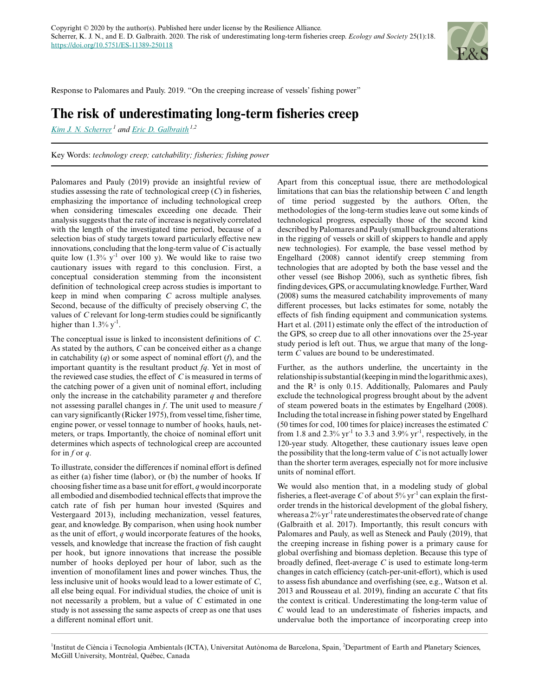

Response to Palomares and Pauly. 2019. "On the creeping increase of vessels' fishing power"

## **The risk of underestimating long-term fisheries creep**

*[Kim J. N. Scherrer](mailto:kim.jn.scherrer@gmail.com)<sup>1</sup> and [Eric D. Galbraith](mailto:eric.galbraith@mcgill.ca) 1,2*

Key Words: *technology creep; catchability; fisheries; fishing power*

Palomares and Pauly (2019) provide an insightful review of studies assessing the rate of technological creep (*C*) in fisheries, emphasizing the importance of including technological creep when considering timescales exceeding one decade. Their analysis suggests that the rate of increase is negatively correlated with the length of the investigated time period, because of a selection bias of study targets toward particularly effective new innovations, concluding that the long-term value of *C* is actually quite low  $(1.3\% \text{ y}^{-1})$  over 100 y). We would like to raise two cautionary issues with regard to this conclusion. First, a conceptual consideration stemming from the inconsistent definition of technological creep across studies is important to keep in mind when comparing *C* across multiple analyses. Second, because of the difficulty of precisely observing *C*, the values of *C* relevant for long-term studies could be significantly higher than  $1.3\%$  y<sup>-1</sup>.

The conceptual issue is linked to inconsistent definitions of *C*. As stated by the authors, *C* can be conceived either as a change in catchability (*q*) or some aspect of nominal effort (*f*), and the important quantity is the resultant product *fq*. Yet in most of the reviewed case studies, the effect of *C* is measured in terms of the catching power of a given unit of nominal effort, including only the increase in the catchability parameter *q* and therefore not assessing parallel changes in *f*. The unit used to measure *f* can vary significantly (Ricker 1975), from vessel time, fisher time, engine power, or vessel tonnage to number of hooks, hauls, netmeters, or traps. Importantly, the choice of nominal effort unit determines which aspects of technological creep are accounted for in *f* or *q*.

To illustrate, consider the differences if nominal effort is defined as either (a) fisher time (labor), or (b) the number of hooks. If choosing fisher time as a base unit for effort, *q* would incorporate all embodied and disembodied technical effects that improve the catch rate of fish per human hour invested (Squires and Vestergaard 2013), including mechanization, vessel features, gear, and knowledge. By comparison, when using hook number as the unit of effort, *q* would incorporate features of the hooks, vessels, and knowledge that increase the fraction of fish caught per hook, but ignore innovations that increase the possible number of hooks deployed per hour of labor, such as the invention of monofilament lines and power winches. Thus, the less inclusive unit of hooks would lead to a lower estimate of *C*, all else being equal. For individual studies, the choice of unit is not necessarily a problem, but a value of *C* estimated in one study is not assessing the same aspects of creep as one that uses a different nominal effort unit.

Apart from this conceptual issue, there are methodological limitations that can bias the relationship between *C* and length of time period suggested by the authors. Often, the methodologies of the long-term studies leave out some kinds of technological progress, especially those of the second kind described by Palomares and Pauly (small background alterations in the rigging of vessels or skill of skippers to handle and apply new technologies). For example, the base vessel method by Engelhard (2008) cannot identify creep stemming from technologies that are adopted by both the base vessel and the other vessel (see Bishop 2006), such as synthetic fibres, fish finding devices, GPS, or accumulating knowledge. Further, Ward (2008) sums the measured catchability improvements of many different processes, but lacks estimates for some, notably the effects of fish finding equipment and communication systems. Hart et al. (2011) estimate only the effect of the introduction of the GPS, so creep due to all other innovations over the 25-year study period is left out. Thus, we argue that many of the longterm *C* values are bound to be underestimated.

Further, as the authors underline, the uncertainty in the relationship is substantial (keeping in mind the logarithmic axes), and the R² is only 0.15. Additionally, Palomares and Pauly exclude the technological progress brought about by the advent of steam powered boats in the estimates by Engelhard (2008). Including the total increase in fishing power stated by Engelhard (50 times for cod, 100 times for plaice) increases the estimated *C* from 1.8 and 2.3%  $yr^{-1}$  to 3.3 and 3.9%  $yr^{-1}$ , respectively, in the 120-year study. Altogether, these cautionary issues leave open the possibility that the long-term value of *C* is not actually lower than the shorter term averages, especially not for more inclusive units of nominal effort.

We would also mention that, in a modeling study of global fisheries, a fleet-average *C* of about  $5\%$  yr<sup>-1</sup> can explain the firstorder trends in the historical development of the global fishery, whereas a 2% yr<sup>-1</sup> rate underestimates the observed rate of change (Galbraith et al. 2017). Importantly, this result concurs with Palomares and Pauly, as well as Steneck and Pauly (2019), that the creeping increase in fishing power is a primary cause for global overfishing and biomass depletion. Because this type of broadly defined, fleet-average *C* is used to estimate long-term changes in catch efficiency (catch-per-unit-effort), which is used to assess fish abundance and overfishing (see, e.g., Watson et al. 2013 and Rousseau et al. 2019), finding an accurate *C* that fits the context is critical. Underestimating the long-term value of *C* would lead to an underestimate of fisheries impacts, and undervalue both the importance of incorporating creep into

<sup>1</sup>Institut de Ciència i Tecnologia Ambientals (ICTA), Universitat Autònoma de Barcelona, Spain, <sup>2</sup>Department of Earth and Planetary Sciences, McGill University, Montréal, Québec, Canada